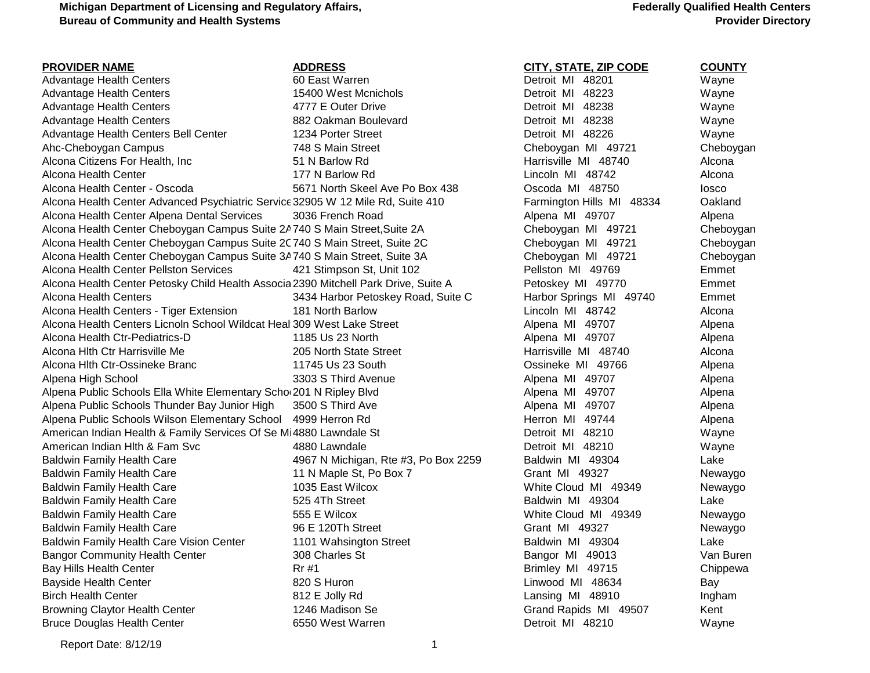### **Federally Qualified Health Centers Provider Directory**

| <b>PROVIDER NAME</b>                                                                | <b>ADDRESS</b>                       | <b>CITY, STATE, ZIP CODE</b> | <b>COUNTY</b> |
|-------------------------------------------------------------------------------------|--------------------------------------|------------------------------|---------------|
| <b>Advantage Health Centers</b>                                                     | 60 East Warren                       | Detroit MI 48201             | Wayne         |
| <b>Advantage Health Centers</b>                                                     | 15400 West Mcnichols                 | Detroit MI 48223             | Wayne         |
| <b>Advantage Health Centers</b>                                                     | 4777 E Outer Drive                   | Detroit MI 48238             | Wayne         |
| <b>Advantage Health Centers</b>                                                     | 882 Oakman Boulevard                 | Detroit MI 48238             | Wayne         |
| Advantage Health Centers Bell Center                                                | 1234 Porter Street                   | Detroit MI 48226             | Wayne         |
| Ahc-Cheboygan Campus                                                                | 748 S Main Street                    | Cheboygan MI 49721           | Cheboygan     |
| Alcona Citizens For Health, Inc                                                     | 51 N Barlow Rd                       | Harrisville MI 48740         | Alcona        |
| Alcona Health Center                                                                | 177 N Barlow Rd                      | Lincoln MI 48742             | Alcona        |
| Alcona Health Center - Oscoda                                                       | 5671 North Skeel Ave Po Box 438      | Oscoda MI 48750              | losco         |
| Alcona Health Center Advanced Psychiatric Service 32905 W 12 Mile Rd, Suite 410     |                                      | Farmington Hills MI 48334    | Oakland       |
| Alcona Health Center Alpena Dental Services                                         | 3036 French Road                     | Alpena MI 49707              | Alpena        |
| Alcona Health Center Cheboygan Campus Suite 2A 740 S Main Street, Suite 2A          |                                      | Cheboygan MI 49721           | Cheboygan     |
| Alcona Health Center Cheboygan Campus Suite 2C 740 S Main Street, Suite 2C          |                                      | Cheboygan MI 49721           | Cheboygan     |
| Alcona Health Center Cheboygan Campus Suite 3A 740 S Main Street, Suite 3A          |                                      | Cheboygan MI 49721           | Cheboygan     |
| Alcona Health Center Pellston Services                                              | 421 Stimpson St, Unit 102            | Pellston MI 49769            | Emmet         |
| Alcona Health Center Petosky Child Health Associa 2390 Mitchell Park Drive, Suite A |                                      | Petoskey MI 49770            | Emmet         |
| Alcona Health Centers                                                               | 3434 Harbor Petoskey Road, Suite C   | Harbor Springs MI 49740      | Emmet         |
| Alcona Health Centers - Tiger Extension                                             | 181 North Barlow                     | Lincoln MI 48742             | Alcona        |
| Alcona Health Centers Licnoln School Wildcat Heal 309 West Lake Street              |                                      | Alpena MI 49707              | Alpena        |
| Alcona Health Ctr-Pediatrics-D                                                      | 1185 Us 23 North                     | Alpena MI 49707              | Alpena        |
| Alcona Hith Ctr Harrisville Me                                                      | 205 North State Street               | Harrisville MI 48740         | Alcona        |
| Alcona Hlth Ctr-Ossineke Branc                                                      | 11745 Us 23 South                    | Ossineke MI 49766            | Alpena        |
| Alpena High School                                                                  | 3303 S Third Avenue                  | Alpena MI 49707              | Alpena        |
| Alpena Public Schools Ella White Elementary Scho 201 N Ripley Blvd                  |                                      | Alpena MI 49707              | Alpena        |
| Alpena Public Schools Thunder Bay Junior High                                       | 3500 S Third Ave                     | Alpena MI 49707              | Alpena        |
| Alpena Public Schools Wilson Elementary School 4999 Herron Rd                       |                                      | Herron MI 49744              | Alpena        |
| American Indian Health & Family Services Of Se Mi 4880 Lawndale St                  |                                      | Detroit MI 48210             | Wayne         |
| American Indian Hith & Fam Svc                                                      | 4880 Lawndale                        | Detroit MI 48210             | Wayne         |
| <b>Baldwin Family Health Care</b>                                                   | 4967 N Michigan, Rte #3, Po Box 2259 | Baldwin MI 49304             | Lake          |
| <b>Baldwin Family Health Care</b>                                                   | 11 N Maple St, Po Box 7              | Grant MI 49327               | Newaygo       |
| <b>Baldwin Family Health Care</b>                                                   | 1035 East Wilcox                     | White Cloud MI 49349         | Newaygo       |
| <b>Baldwin Family Health Care</b>                                                   | 525 4Th Street                       | Baldwin MI 49304             | Lake          |
| <b>Baldwin Family Health Care</b>                                                   | 555 E Wilcox                         | White Cloud MI 49349         | Newaygo       |
| <b>Baldwin Family Health Care</b>                                                   | 96 E 120Th Street                    | Grant MI 49327               | Newaygo       |
| Baldwin Family Health Care Vision Center                                            | 1101 Wahsington Street               | Baldwin MI 49304             | Lake          |
| <b>Bangor Community Health Center</b>                                               | 308 Charles St                       | Bangor MI 49013              | Van Buren     |
| Bay Hills Health Center                                                             | Rr #1                                | Brimley MI 49715             | Chippewa      |
| <b>Bayside Health Center</b>                                                        | 820 S Huron                          | Linwood MI 48634             | Bay           |
| <b>Birch Health Center</b>                                                          | 812 E Jolly Rd                       | Lansing MI 48910             | Ingham        |
| <b>Browning Claytor Health Center</b>                                               | 1246 Madison Se                      | Grand Rapids MI 49507        | Kent          |
| <b>Bruce Douglas Health Center</b>                                                  | 6550 West Warren                     | Detroit MI 48210             | Wayne         |
|                                                                                     |                                      |                              |               |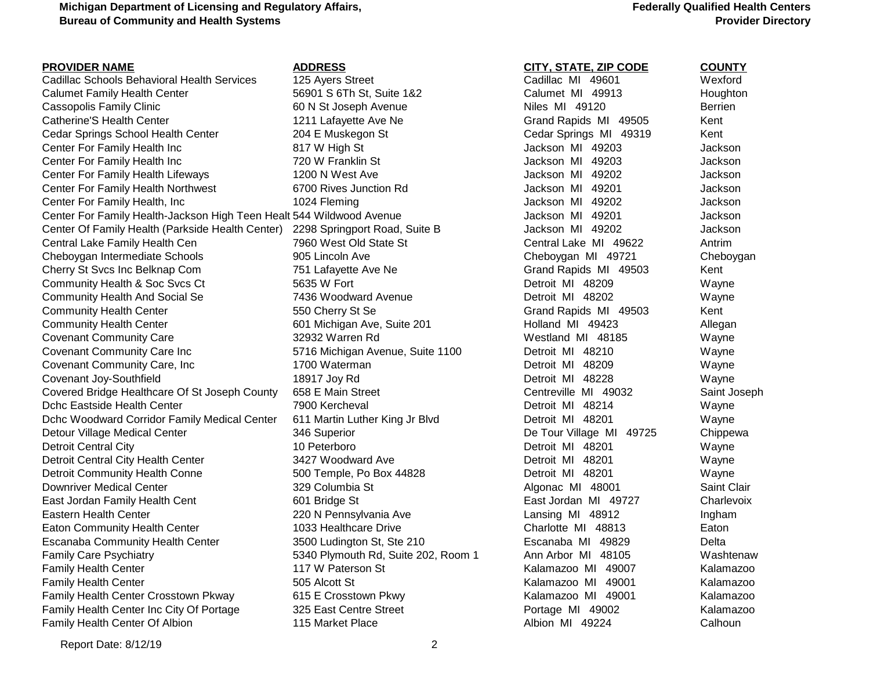### **Federally Qualified Health Centers Provider Directory**

| <b>PROVIDER NAME</b>                                                 | <b>ADDRESS</b>                      | <b>CITY, STATE, ZIP CODE</b> | <b>COUNTY</b>  |
|----------------------------------------------------------------------|-------------------------------------|------------------------------|----------------|
| Cadillac Schools Behavioral Health Services                          | 125 Ayers Street                    | Cadillac MI 49601            | Wexford        |
| <b>Calumet Family Health Center</b>                                  | 56901 S 6Th St, Suite 1&2           | Calumet MI 49913             | Houghton       |
| Cassopolis Family Clinic                                             | 60 N St Joseph Avenue               | Niles MI 49120               | <b>Berrien</b> |
| Catherine'S Health Center                                            | 1211 Lafayette Ave Ne               | Grand Rapids MI 49505        | Kent           |
| Cedar Springs School Health Center                                   | 204 E Muskegon St                   | Cedar Springs MI 49319       | Kent           |
| Center For Family Health Inc                                         | 817 W High St                       | Jackson MI 49203             | Jackson        |
| Center For Family Health Inc                                         | 720 W Franklin St                   | Jackson MI 49203             | Jackson        |
| Center For Family Health Lifeways                                    | 1200 N West Ave                     | Jackson MI 49202             | Jackson        |
| Center For Family Health Northwest                                   | 6700 Rives Junction Rd              | Jackson MI 49201             | Jackson        |
| Center For Family Health, Inc                                        | 1024 Fleming                        | Jackson MI 49202             | Jackson        |
| Center For Family Health-Jackson High Teen Healt 544 Wildwood Avenue |                                     | Jackson MI 49201             | Jackson        |
| Center Of Family Health (Parkside Health Center)                     | 2298 Springport Road, Suite B       | Jackson MI 49202             | Jackson        |
| Central Lake Family Health Cen                                       | 7960 West Old State St              | Central Lake MI 49622        | Antrim         |
| Cheboygan Intermediate Schools                                       | 905 Lincoln Ave                     | Cheboygan MI 49721           | Cheboyga       |
| Cherry St Svcs Inc Belknap Com                                       | 751 Lafayette Ave Ne                | Grand Rapids MI 49503        | Kent           |
| Community Health & Soc Svcs Ct                                       | 5635 W Fort                         | Detroit MI 48209             | Wayne          |
| <b>Community Health And Social Se</b>                                | 7436 Woodward Avenue                | Detroit MI 48202             | Wayne          |
| <b>Community Health Center</b>                                       | 550 Cherry St Se                    | Grand Rapids MI 49503        | Kent           |
| <b>Community Health Center</b>                                       | 601 Michigan Ave, Suite 201         | Holland MI 49423             | Allegan        |
| <b>Covenant Community Care</b>                                       | 32932 Warren Rd                     | Westland MI 48185            | Wayne          |
| <b>Covenant Community Care Inc</b>                                   | 5716 Michigan Avenue, Suite 1100    | Detroit MI 48210             | Wayne          |
| Covenant Community Care, Inc                                         | 1700 Waterman                       | Detroit MI 48209             | Wayne          |
| Covenant Joy-Southfield                                              | 18917 Joy Rd                        | Detroit MI 48228             | Wayne          |
| Covered Bridge Healthcare Of St Joseph County                        | 658 E Main Street                   | Centreville MI 49032         | Saint Jose     |
| Dchc Eastside Health Center                                          | 7900 Kercheval                      | Detroit MI 48214             | Wayne          |
| Dchc Woodward Corridor Family Medical Center                         | 611 Martin Luther King Jr Blvd      | Detroit MI 48201             | Wayne          |
| Detour Village Medical Center                                        | 346 Superior                        | De Tour Village MI 49725     | Chippewa       |
| <b>Detroit Central City</b>                                          | 10 Peterboro                        | Detroit MI 48201             | Wayne          |
| Detroit Central City Health Center                                   | 3427 Woodward Ave                   | Detroit MI 48201             | Wayne          |
| Detroit Community Health Conne                                       | 500 Temple, Po Box 44828            | Detroit MI 48201             | Wayne          |
| Downriver Medical Center                                             | 329 Columbia St                     | Algonac MI 48001             | Saint Clair    |
| East Jordan Family Health Cent                                       | 601 Bridge St                       | East Jordan MI 49727         | Charlevoix     |
| Eastern Health Center                                                | 220 N Pennsylvania Ave              | Lansing MI 48912             | Ingham         |
| Eaton Community Health Center                                        | 1033 Healthcare Drive               | Charlotte MI 48813           | Eaton          |
| <b>Escanaba Community Health Center</b>                              | 3500 Ludington St, Ste 210          | Escanaba MI 49829            | Delta          |
| <b>Family Care Psychiatry</b>                                        | 5340 Plymouth Rd, Suite 202, Room 1 | Ann Arbor MI 48105           | Washtena       |
| <b>Family Health Center</b>                                          | 117 W Paterson St                   | Kalamazoo MI 49007           | Kalamazo       |
| <b>Family Health Center</b>                                          | 505 Alcott St                       | Kalamazoo MI 49001           | Kalamazo       |
| Family Health Center Crosstown Pkway                                 | 615 E Crosstown Pkwy                | Kalamazoo MI 49001           | Kalamazo       |
| Family Health Center Inc City Of Portage                             | 325 East Centre Street              | Portage MI 49002             | Kalamazo       |
| <b>Family Health Center Of Albion</b>                                | 115 Market Place                    | Albion MI 49224              | Calhoun        |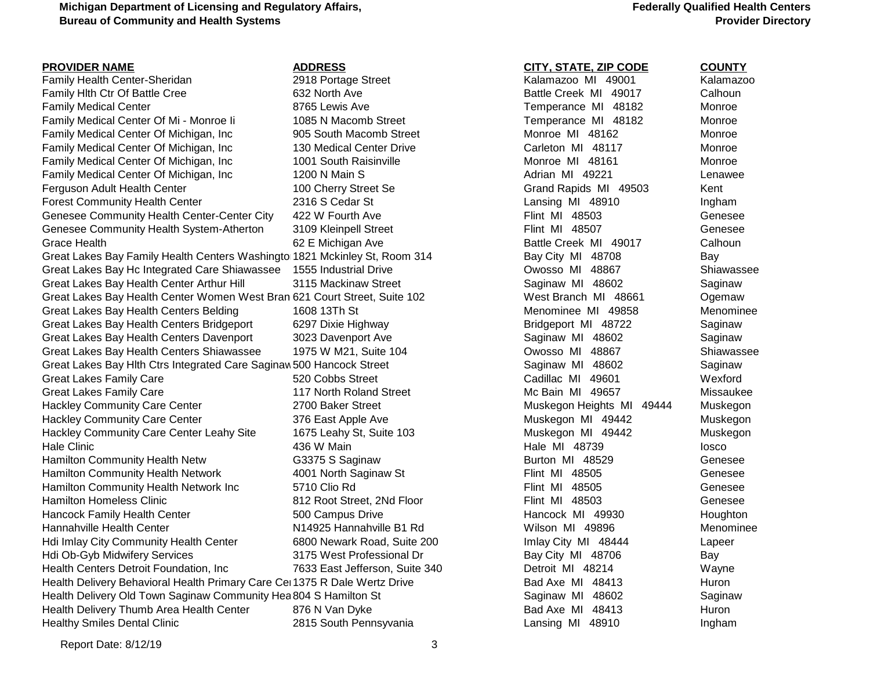**Federally Qualified Health Centers Provider Directory**

| <b>PROVIDER NAME</b>                                                       | <b>ADDRESS</b>                 | <b>CITY, STATE, ZIP CODE</b> | <b>COUNTY</b> |
|----------------------------------------------------------------------------|--------------------------------|------------------------------|---------------|
| Family Health Center-Sheridan                                              | 2918 Portage Street            | Kalamazoo MI 49001           | Kalamazoo     |
| Family Hith Ctr Of Battle Cree                                             | 632 North Ave                  | Battle Creek MI 49017        | Calhoun       |
| <b>Family Medical Center</b>                                               | 8765 Lewis Ave                 | Temperance MI 48182          | Monroe        |
| Family Medical Center Of Mi - Monroe li                                    | 1085 N Macomb Street           | Temperance MI 48182          | Monroe        |
| Family Medical Center Of Michigan, Inc.                                    | 905 South Macomb Street        | Monroe MI 48162              | Monroe        |
| Family Medical Center Of Michigan, Inc                                     | 130 Medical Center Drive       | Carleton MI 48117            | Monroe        |
| Family Medical Center Of Michigan, Inc                                     | 1001 South Raisinville         | Monroe MI 48161              | Monroe        |
| Family Medical Center Of Michigan, Inc                                     | 1200 N Main S                  | Adrian MI 49221              | Lenawee       |
| Ferguson Adult Health Center                                               | 100 Cherry Street Se           | Grand Rapids MI 49503        | Kent          |
| <b>Forest Community Health Center</b>                                      | 2316 S Cedar St                | Lansing MI 48910             | Ingham        |
| Genesee Community Health Center-Center City                                | 422 W Fourth Ave               | Flint MI 48503               | Genesee       |
| Genesee Community Health System-Atherton                                   | 3109 Kleinpell Street          | Flint MI 48507               | Genesee       |
| Grace Health                                                               | 62 E Michigan Ave              | Battle Creek MI 49017        | Calhoun       |
| Great Lakes Bay Family Health Centers Washingto 1821 Mckinley St, Room 314 |                                | Bay City MI 48708            | Bay           |
| Great Lakes Bay Hc Integrated Care Shiawassee 1555 Industrial Drive        |                                | Owosso MI 48867              | Shiawassee    |
| Great Lakes Bay Health Center Arthur Hill                                  | 3115 Mackinaw Street           | Saginaw MI 48602             | Saginaw       |
| Great Lakes Bay Health Center Women West Bran 621 Court Street, Suite 102  |                                | West Branch MI 48661         | Ogemaw        |
| Great Lakes Bay Health Centers Belding                                     | 1608 13Th St                   | Menominee MI 49858           | Menominee     |
| Great Lakes Bay Health Centers Bridgeport                                  | 6297 Dixie Highway             | Bridgeport MI 48722          | Saginaw       |
| Great Lakes Bay Health Centers Davenport                                   | 3023 Davenport Ave             | Saginaw MI 48602             | Saginaw       |
| Great Lakes Bay Health Centers Shiawassee                                  | 1975 W M21, Suite 104          | Owosso MI 48867              | Shiawassee    |
| Great Lakes Bay Hith Ctrs Integrated Care Saginaw 500 Hancock Street       |                                | Saginaw MI 48602             | Saginaw       |
| <b>Great Lakes Family Care</b>                                             | 520 Cobbs Street               | Cadillac MI 49601            | Wexford       |
| <b>Great Lakes Family Care</b>                                             | 117 North Roland Street        | Mc Bain MI 49657             | Missaukee     |
| <b>Hackley Community Care Center</b>                                       | 2700 Baker Street              | Muskegon Heights MI 49444    | Muskegon      |
| <b>Hackley Community Care Center</b>                                       | 376 East Apple Ave             | Muskegon MI 49442            | Muskegon      |
| Hackley Community Care Center Leahy Site                                   | 1675 Leahy St, Suite 103       | Muskegon MI 49442            | Muskegon      |
| <b>Hale Clinic</b>                                                         | 436 W Main                     | Hale MI 48739                | losco         |
| Hamilton Community Health Netw                                             | G3375 S Saginaw                | Burton MI 48529              | Genesee       |
| Hamilton Community Health Network                                          | 4001 North Saginaw St          | Flint MI 48505               | Genesee       |
| Hamilton Community Health Network Inc                                      | 5710 Clio Rd                   | Flint MI 48505               | Genesee       |
| <b>Hamilton Homeless Clinic</b>                                            | 812 Root Street, 2Nd Floor     | Flint MI 48503               | Genesee       |
| Hancock Family Health Center                                               | 500 Campus Drive               | Hancock MI 49930             | Houghton      |
| Hannahville Health Center                                                  | N14925 Hannahville B1 Rd       | Wilson MI 49896              | Menominee     |
| Hdi Imlay City Community Health Center                                     | 6800 Newark Road, Suite 200    | Imlay City MI 48444          | Lapeer        |
| Hdi Ob-Gyb Midwifery Services                                              | 3175 West Professional Dr      | Bay City MI 48706            | Bay           |
| Health Centers Detroit Foundation, Inc.                                    | 7633 East Jefferson, Suite 340 | Detroit MI 48214             | Wayne         |
| Health Delivery Behavioral Health Primary Care Cel 1375 R Dale Wertz Drive |                                | Bad Axe MI 48413             | Huron         |
| Health Delivery Old Town Saginaw Community Hea 804 S Hamilton St           |                                | Saginaw MI 48602             | Saginaw       |
| Health Delivery Thumb Area Health Center                                   | 876 N Van Dyke                 | Bad Axe MI 48413             | Huron         |
| <b>Healthy Smiles Dental Clinic</b>                                        | 2815 South Pennsyvania         | Lansing MI 48910             | Ingham        |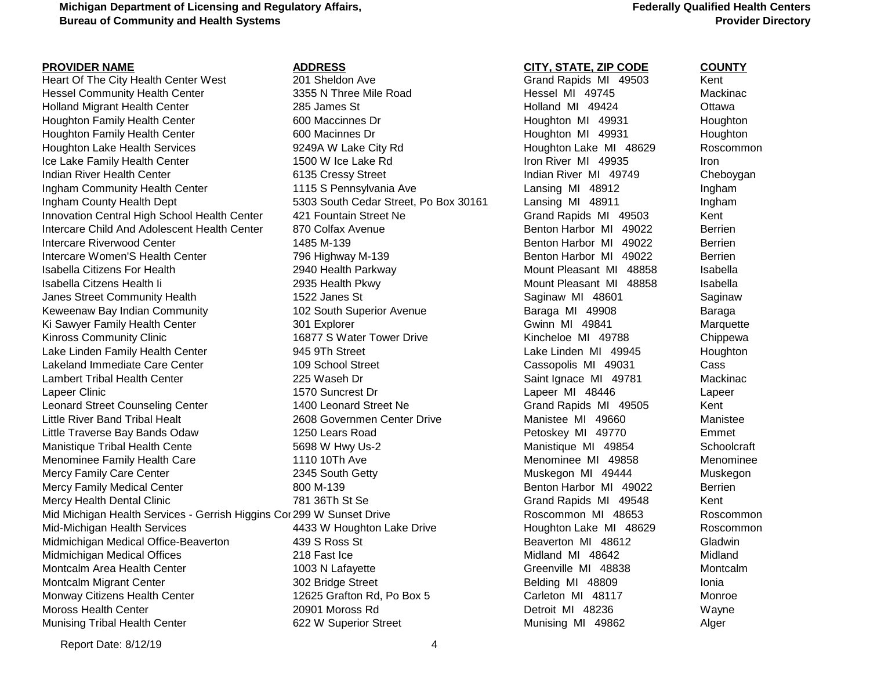Heart Of The City Health Center West 201 Sheldon Ave **Grand Rapids MI 49503** Kent Hessel Community Health Center **3355 N** Three Mile Road **Hessel MI 49745** Mackinac Holland Migrant Health Center **285 James St 1992 Communist Center Adding MI** 49424 Ottawa Houghton Family Health Center **600 Maccinnes Dr Houghton MI 49931** Houghton MI 49931 Houghton Houghton Family Health Center **600 Macinnes Dr Houghton MI 49931** Houghton MI 49931 Houghton Lake Health Services **6. Equate 1924 Services** 9249A W Lake City Rd **Houghton Lake MI 48629** Roscommon Ice Lake Family Health Center 1500 W Ice Lake Rd Iron River MI 49935 Iron River MI 49935 Indian River Health Center 6135 Cressy Street Indian River MI 49749 Cheboygan Ingham Community Health Center 1115 S Pennsylvania Ave Lansing MI 48912 Ingham Ingham County Health Dept **1.1 County 1.5303** South Cedar Street, Po Box 30161 Lansing MI 48911 Lansing MI 48911 Innovation Central High School Health Center 421 Fountain Street Ne Grand Rapids MI 49503 Kent Intercare Child And Adolescent Health Center 870 Colfax Avenue **Benton Harbor MI 49022** Berrien Intercare Riverwood Center 1992 Center 1485 M-139 Benton Harbor MI 49022 Berrien Intercare Women'S Health Center **796 Highway M-139** Benton Harbor MI 49022 Berrien Isabella Citizens For Health 2940 Health Parkway 2940 Health Parkway Mount Pleasant MI 48858 Isabella Isabella Citzens Health Ii **2935 Health Pkwy Mount Pleasant MI 48858** Isabella Janes Street Community Health 1522 Janes St Saginaw Saginaw MI 48601 Saginaw MI 48601 Keweenaw Bay Indian Community **102 South Superior Avenue** Baraga MI 49908 Baraga Baraga Ki Sawyer Family Health Center **6 Capacitic Structure 10 Accord 10** Savinn MI 49841 Marquette Kinross Community Clinic **16877 S** Water Tower Drive **Kincheloe MI 49788** Chippewa Lake Linden Family Health Center **1945 945 9Th Street** 1945 1994 Lake Linden MI 49945 Houghton Lakeland Immediate Care Center The Cassopolis MI 49031 Cassopolis Cassopolis MI 49031 Cass Lambert Tribal Health Center Tribal Health Center 225 Waseh Dr Saint Ignace MI 49781 Mackinac Lapeer Clinic **1570 Suncrest Dr** 2014 Lapeer MI 48446 Lapeer Mi 48446 Lapeer Clinic Leonard Street Counseling Center 1400 Leonard Street Ne Grand Rapids MI 49505 Kent Little River Band Tribal Healt **2608 Governmen Center Drive** Manistee MI 49660 Manistee MI 49660 Little Traverse Bay Bands Odaw 1250 Lears Road Petoskey MI 49770 Emmet Manistique Tribal Health Cente 5698 W Hwy Us-2 Manistique MI 49854 Schoolcraft Menominee Family Health Care **1110 10Th Ave Menominee MI 49858** Menominee MI 49858 Mercy Family Care Center **2315 South Getty** Muskegon MI 49444 Muskegon MI 49444 Muskegon MI 49444 Mercy Family Medical Center **800 M-139** Benton Harbor MI 49022 Bentrien Mercy Health Dental Clinic **The Clinic Clinic 2006** 781 36Th St Se Grand Rapids MI 49548 Kent Mid Michigan Health Services - Gerrish Higgins Cor 299 W Sunset Drive **Roscommon Reserve Roscommon MI 48653** Roscommon Mid-Michigan Health Services **6.2 Common Addam Houghton Lake Drive Houghton Lake MI 48629** Roscommon Midmichigan Medical Office-Beaverton and 439 S Ross St **Beaverton MI 48612** Gladwin Midmichigan Medical Offices **218 Fast Ice Midland MI 48642** Midland MI 48642 Montcalm Area Health Center **1003 N Lafayette** Camera Creenville MI 48838 Montcalm Montcalm Migrant Center The State of the Street 302 Bridge Street Center State Belding MI 48809 Ionia Monway Citizens Health Center 12625 Grafton Rd, Po Box 5 Carleton MI 48117 Monroe Moross Health Center 20901 Moross Rd Detroit MI 48236 Wayne Munising Tribal Health Center **622 W** Superior Street **Munising MI 49862** Alger

## **Federally Qualified Health Centers Provider Directory**

**PROVIDER NAME ADDRESS CITY, STATE, ZIP CODE COUNTY**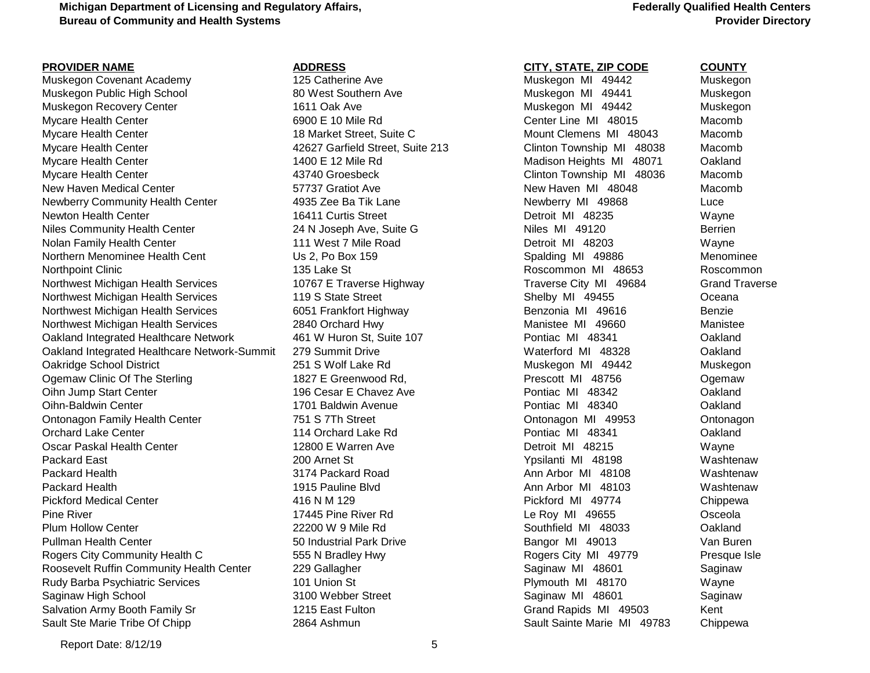# **Federally Qualified Health Centers Provider Directory**

| <b>PROVIDER NAME</b>                         | <b>ADDRESS</b>                   | <b>CITY, STATE, ZIP CODE</b>  | <b>COUNTY</b> |
|----------------------------------------------|----------------------------------|-------------------------------|---------------|
| Muskegon Covenant Academy                    | 125 Catherine Ave                | Muskegon MI 49442             | Muskegon      |
| Muskegon Public High School                  | 80 West Southern Ave             | Muskegon MI 49441             | Muskegon      |
| Muskegon Recovery Center                     | 1611 Oak Ave                     | Muskegon MI 49442             | Muskegon      |
| <b>Mycare Health Center</b>                  | 6900 E 10 Mile Rd                | Center Line MI 48015          | Macomb        |
| <b>Mycare Health Center</b>                  | 18 Market Street, Suite C        | Mount Clemens MI 48043        | Macomb        |
| <b>Mycare Health Center</b>                  | 42627 Garfield Street, Suite 213 | Clinton Township MI 48038     | Macomb        |
| Mycare Health Center                         | 1400 E 12 Mile Rd                | Madison Heights MI 48071      | Oakland       |
| <b>Mycare Health Center</b>                  | 43740 Groesbeck                  | Clinton Township MI 48036     | Macomb        |
| New Haven Medical Center                     | 57737 Gratiot Ave                | New Haven MI 48048            | Macomb        |
| <b>Newberry Community Health Center</b>      | 4935 Zee Ba Tik Lane             | Newberry MI 49868             | Luce          |
| Newton Health Center                         | 16411 Curtis Street              | Detroit MI 48235              | Wayne         |
| <b>Niles Community Health Center</b>         | 24 N Joseph Ave, Suite G         | Niles MI 49120                | Berrien       |
| Nolan Family Health Center                   | 111 West 7 Mile Road             | Detroit MI 48203              | Wayne         |
| Northern Menominee Health Cent               | Us 2, Po Box 159                 | Spalding MI 49886             | Menomine      |
| Northpoint Clinic                            | 135 Lake St                      | Roscommon MI 48653            | Roscommo      |
| Northwest Michigan Health Services           | 10767 E Traverse Highway         | Traverse City MI 49684        | Grand Tray    |
| Northwest Michigan Health Services           | 119 S State Street               | Shelby MI 49455               | Oceana        |
| Northwest Michigan Health Services           | 6051 Frankfort Highway           | Benzonia MI 49616             | <b>Benzie</b> |
| Northwest Michigan Health Services           | 2840 Orchard Hwy                 | Manistee MI 49660             | Manistee      |
| Oakland Integrated Healthcare Network        | 461 W Huron St, Suite 107        | Pontiac MI 48341              | Oakland       |
| Oakland Integrated Healthcare Network-Summit | 279 Summit Drive                 | Waterford MI 48328            | Oakland       |
| Oakridge School District                     | 251 S Wolf Lake Rd               | Muskegon MI 49442             | Muskegon      |
| Ogemaw Clinic Of The Sterling                | 1827 E Greenwood Rd,             | Prescott MI 48756             | Ogemaw        |
| Oihn Jump Start Center                       | 196 Cesar E Chavez Ave           | Pontiac MI 48342              | Oakland       |
| Oihn-Baldwin Center                          | 1701 Baldwin Avenue              | Pontiac MI 48340              | Oakland       |
| Ontonagon Family Health Center               | 751 S 7Th Street                 | Ontonagon MI 49953            | Ontonagon     |
| <b>Orchard Lake Center</b>                   | 114 Orchard Lake Rd              | Pontiac MI 48341              | Oakland       |
| Oscar Paskal Health Center                   | 12800 E Warren Ave               | Detroit MI 48215              | Wayne         |
| Packard East                                 | 200 Arnet St                     | Ypsilanti MI 48198            | Washtenay     |
| Packard Health                               | 3174 Packard Road                | Ann Arbor MI 48108            | Washtenav     |
| Packard Health                               | 1915 Pauline Blvd                | Ann Arbor MI 48103            | Washtenav     |
| <b>Pickford Medical Center</b>               | 416 N M 129                      | Pickford MI 49774             | Chippewa      |
| <b>Pine River</b>                            | 17445 Pine River Rd              | Le Roy MI 49655               | Osceola       |
| <b>Plum Hollow Center</b>                    | 22200 W 9 Mile Rd                | Southfield MI 48033           | Oakland       |
| Pullman Health Center                        | 50 Industrial Park Drive         | Bangor MI 49013               | Van Buren     |
| Rogers City Community Health C               | 555 N Bradley Hwy                | Rogers City MI 49779          | Presque Is    |
| Roosevelt Ruffin Community Health Center     | 229 Gallagher                    | Saginaw MI 48601              | Saginaw       |
| Rudy Barba Psychiatric Services              | 101 Union St                     | Plymouth MI 48170             | Wayne         |
| Saginaw High School                          | 3100 Webber Street               | Saginaw MI 48601              | Saginaw       |
| Salvation Army Booth Family Sr               | 1215 East Fulton                 | Grand Rapids MI 49503         | Kent          |
| Of Chinn ا Ste Marie Trihe Of                | $2864$ Achmun                    | Sault Sainte Marie, ML, 49783 | Chinnewa      |